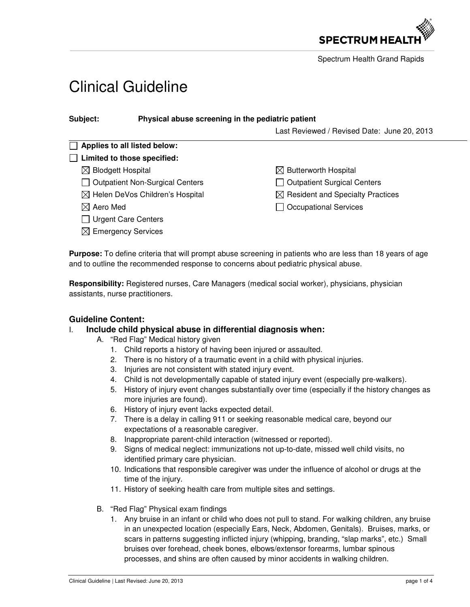

Spectrum Health Grand Rapids

# Clinical Guideline

| Subject:                                    | Physical abuse screening in the pediatric patient |                                              |
|---------------------------------------------|---------------------------------------------------|----------------------------------------------|
|                                             |                                                   | Last Reviewed / Revised Date: June 20, 2013  |
|                                             | Applies to all listed below:                      |                                              |
|                                             | $\Box$ Limited to those specified:                |                                              |
| <b>Blodgett Hospital</b><br>MГ              |                                                   | $\boxtimes$ Butterworth Hospital             |
| <b>Outpatient Non-Surgical Centers</b>      |                                                   | <b>Outpatient Surgical Centers</b>           |
| $\boxtimes$ Helen DeVos Children's Hospital |                                                   | $\boxtimes$ Resident and Specialty Practices |
| $\boxtimes$ Aero Med                        |                                                   | <b>Occupational Services</b>                 |
| <b>Urgent Care Centers</b>                  |                                                   |                                              |
|                                             | $\boxtimes$ Emergency Services                    |                                              |

**Purpose:** To define criteria that will prompt abuse screening in patients who are less than 18 years of age and to outline the recommended response to concerns about pediatric physical abuse.

**Responsibility:** Registered nurses, Care Managers (medical social worker), physicians, physician assistants, nurse practitioners.

## **Guideline Content:**

#### I. **Include child physical abuse in differential diagnosis when:**

- A. "Red Flag" Medical history given
	- 1. Child reports a history of having been injured or assaulted.
	- 2. There is no history of a traumatic event in a child with physical injuries.
	- 3. Injuries are not consistent with stated injury event.
	- 4. Child is not developmentally capable of stated injury event (especially pre-walkers).
	- 5. History of injury event changes substantially over time (especially if the history changes as more injuries are found).
	- 6. History of injury event lacks expected detail.
	- 7. There is a delay in calling 911 or seeking reasonable medical care, beyond our expectations of a reasonable caregiver.
	- 8. Inappropriate parent-child interaction (witnessed or reported).
	- 9. Signs of medical neglect: immunizations not up-to-date, missed well child visits, no identified primary care physician.
	- 10. Indications that responsible caregiver was under the influence of alcohol or drugs at the time of the injury.
	- 11. History of seeking health care from multiple sites and settings.
- B. "Red Flag" Physical exam findings
	- 1. Any bruise in an infant or child who does not pull to stand. For walking children, any bruise in an unexpected location (especially Ears, Neck, Abdomen, Genitals). Bruises, marks, or scars in patterns suggesting inflicted injury (whipping, branding, "slap marks", etc.) Small bruises over forehead, cheek bones, elbows/extensor forearms, lumbar spinous processes, and shins are often caused by minor accidents in walking children.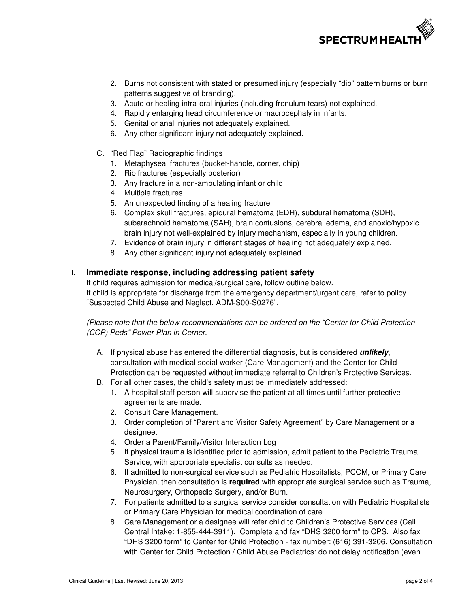

- 2. Burns not consistent with stated or presumed injury (especially "dip" pattern burns or burn patterns suggestive of branding).
- 3. Acute or healing intra-oral injuries (including frenulum tears) not explained.
- 4. Rapidly enlarging head circumference or macrocephaly in infants.
- 5. Genital or anal injuries not adequately explained.
- 6. Any other significant injury not adequately explained.
- C. "Red Flag" Radiographic findings
	- 1. Metaphyseal fractures (bucket-handle, corner, chip)
	- 2. Rib fractures (especially posterior)
	- 3. Any fracture in a non-ambulating infant or child
	- 4. Multiple fractures
	- 5. An unexpected finding of a healing fracture
	- 6. Complex skull fractures, epidural hematoma (EDH), subdural hematoma (SDH), subarachnoid hematoma (SAH), brain contusions, cerebral edema, and anoxic/hypoxic brain injury not well-explained by injury mechanism, especially in young children.
	- 7. Evidence of brain injury in different stages of healing not adequately explained.
	- 8. Any other significant injury not adequately explained.

### II. **Immediate response, including addressing patient safety**

If child requires admission for medical/surgical care, follow outline below. If child is appropriate for discharge from the emergency department/urgent care, refer to policy "Suspected Child Abuse and Neglect, ADM-S00-S0276".

(Please note that the below recommendations can be ordered on the "Center for Child Protection (CCP) Peds" Power Plan in Cerner.

- A. If physical abuse has entered the differential diagnosis, but is considered **unlikely**, consultation with medical social worker (Care Management) and the Center for Child Protection can be requested without immediate referral to Children's Protective Services.
- B. For all other cases, the child's safety must be immediately addressed:
	- 1. A hospital staff person will supervise the patient at all times until further protective agreements are made.
	- 2. Consult Care Management.
	- 3. Order completion of "Parent and Visitor Safety Agreement" by Care Management or a designee.
	- 4. Order a Parent/Family/Visitor Interaction Log
	- 5. If physical trauma is identified prior to admission, admit patient to the Pediatric Trauma Service, with appropriate specialist consults as needed.
	- 6. If admitted to non-surgical service such as Pediatric Hospitalists, PCCM, or Primary Care Physician, then consultation is **required** with appropriate surgical service such as Trauma, Neurosurgery, Orthopedic Surgery, and/or Burn.
	- 7. For patients admitted to a surgical service consider consultation with Pediatric Hospitalists or Primary Care Physician for medical coordination of care.
	- 8. Care Management or a designee will refer child to Children's Protective Services (Call Central Intake: 1-855-444-3911). Complete and fax "DHS 3200 form" to CPS. Also fax "DHS 3200 form" to Center for Child Protection - fax number: (616) 391-3206. Consultation with Center for Child Protection / Child Abuse Pediatrics: do not delay notification (even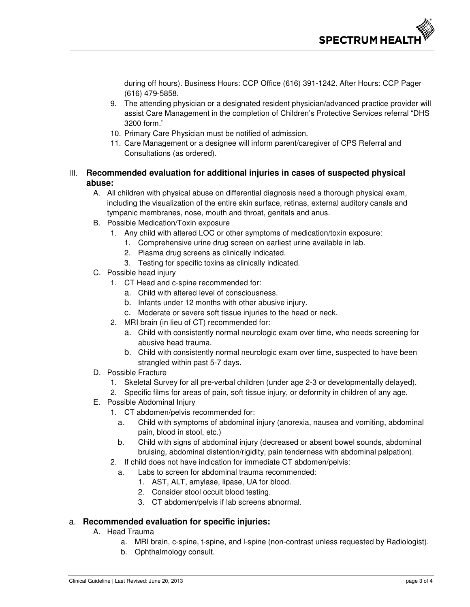during off hours). Business Hours: CCP Office (616) 391-1242. After Hours: CCP Pager (616) 479-5858.

- 9. The attending physician or a designated resident physician/advanced practice provider will assist Care Management in the completion of Children's Protective Services referral "DHS 3200 form."
- 10. Primary Care Physician must be notified of admission.
- 11. Care Management or a designee will inform parent/caregiver of CPS Referral and Consultations (as ordered).

## III. **Recommended evaluation for additional injuries in cases of suspected physical abuse:**

- A. All children with physical abuse on differential diagnosis need a thorough physical exam, including the visualization of the entire skin surface, retinas, external auditory canals and tympanic membranes, nose, mouth and throat, genitals and anus.
- B. Possible Medication/Toxin exposure
	- 1. Any child with altered LOC or other symptoms of medication/toxin exposure:
		- 1. Comprehensive urine drug screen on earliest urine available in lab.
		- 2. Plasma drug screens as clinically indicated.
		- 3. Testing for specific toxins as clinically indicated.
- C. Possible head injury
	- 1. CT Head and c-spine recommended for:
		- a. Child with altered level of consciousness.
		- b. Infants under 12 months with other abusive injury.
		- c. Moderate or severe soft tissue injuries to the head or neck.
	- 2. MRI brain (in lieu of CT) recommended for:
		- a. Child with consistently normal neurologic exam over time, who needs screening for abusive head trauma.
		- b. Child with consistently normal neurologic exam over time, suspected to have been strangled within past 5-7 days.
- D. Possible Fracture
	- 1. Skeletal Survey for all pre-verbal children (under age 2-3 or developmentally delayed).
	- 2. Specific films for areas of pain, soft tissue injury, or deformity in children of any age.
- E. Possible Abdominal Injury
	- 1. CT abdomen/pelvis recommended for:
		- a. Child with symptoms of abdominal injury (anorexia, nausea and vomiting, abdominal pain, blood in stool, etc.)
		- b. Child with signs of abdominal injury (decreased or absent bowel sounds, abdominal bruising, abdominal distention/rigidity, pain tenderness with abdominal palpation).
	- 2. If child does not have indication for immediate CT abdomen/pelvis:
		- a. Labs to screen for abdominal trauma recommended:
			- 1. AST, ALT, amylase, lipase, UA for blood.
			- 2. Consider stool occult blood testing.
			- 3. CT abdomen/pelvis if lab screens abnormal.

## a. **Recommended evaluation for specific injuries:**

- A. Head Trauma
	- a. MRI brain, c-spine, t-spine, and l-spine (non-contrast unless requested by Radiologist).
	- b. Ophthalmology consult.